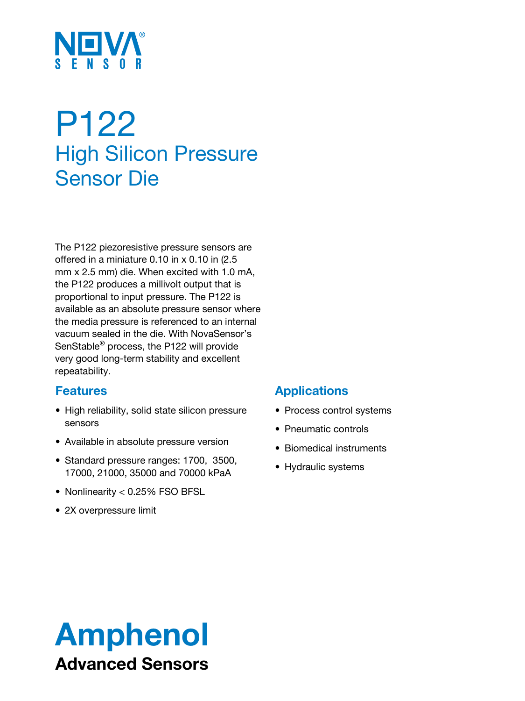

# P122 High Silicon Pressure Sensor Die

The P122 piezoresistive pressure sensors are offered in a miniature 0.10 in x 0.10 in (2.5 mm x 2.5 mm) die. When excited with 1.0 mA, the P122 produces a millivolt output that is proportional to input pressure. The P122 is available as an absolute pressure sensor where the media pressure is referenced to an internal vacuum sealed in the die. With NovaSensor's SenStable® process, the P122 will provide very good long-term stability and excellent repeatability.

### **Features**

- High reliability, solid state silicon pressure sensors
- Available in absolute pressure version
- Standard pressure ranges: 1700, 3500, 17000, 21000, 35000 and 70000 kPaA
- Nonlinearity < 0.25% FSO BFSL
- 2X overpressure limit

## **Applications**

- Process control systems
- Pneumatic controls
- Biomedical instruments
- Hydraulic systems

# Amphenol Advanced Sensors